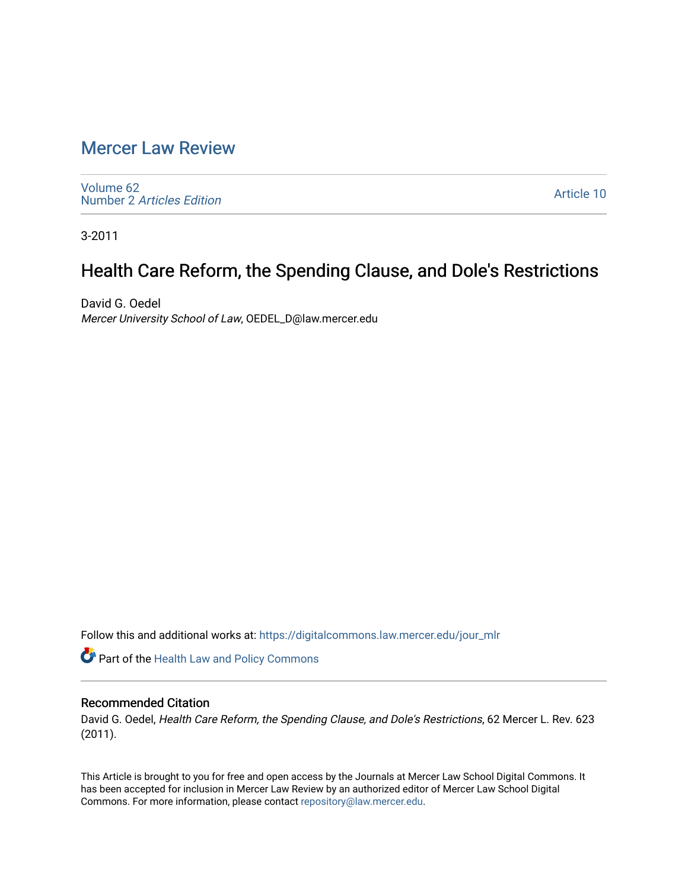## [Mercer Law Review](https://digitalcommons.law.mercer.edu/jour_mlr)

[Volume 62](https://digitalcommons.law.mercer.edu/jour_mlr/vol62) Number 2 [Articles Edition](https://digitalcommons.law.mercer.edu/jour_mlr/vol62/iss2) 

[Article 10](https://digitalcommons.law.mercer.edu/jour_mlr/vol62/iss2/10) 

3-2011

# Health Care Reform, the Spending Clause, and Dole's Restrictions

David G. Oedel Mercer University School of Law, OEDEL\_D@law.mercer.edu

Follow this and additional works at: [https://digitalcommons.law.mercer.edu/jour\\_mlr](https://digitalcommons.law.mercer.edu/jour_mlr?utm_source=digitalcommons.law.mercer.edu%2Fjour_mlr%2Fvol62%2Fiss2%2F10&utm_medium=PDF&utm_campaign=PDFCoverPages)

Part of the [Health Law and Policy Commons](http://network.bepress.com/hgg/discipline/901?utm_source=digitalcommons.law.mercer.edu%2Fjour_mlr%2Fvol62%2Fiss2%2F10&utm_medium=PDF&utm_campaign=PDFCoverPages) 

### Recommended Citation

David G. Oedel, Health Care Reform, the Spending Clause, and Dole's Restrictions, 62 Mercer L. Rev. 623 (2011).

This Article is brought to you for free and open access by the Journals at Mercer Law School Digital Commons. It has been accepted for inclusion in Mercer Law Review by an authorized editor of Mercer Law School Digital Commons. For more information, please contact [repository@law.mercer.edu.](mailto:repository@law.mercer.edu)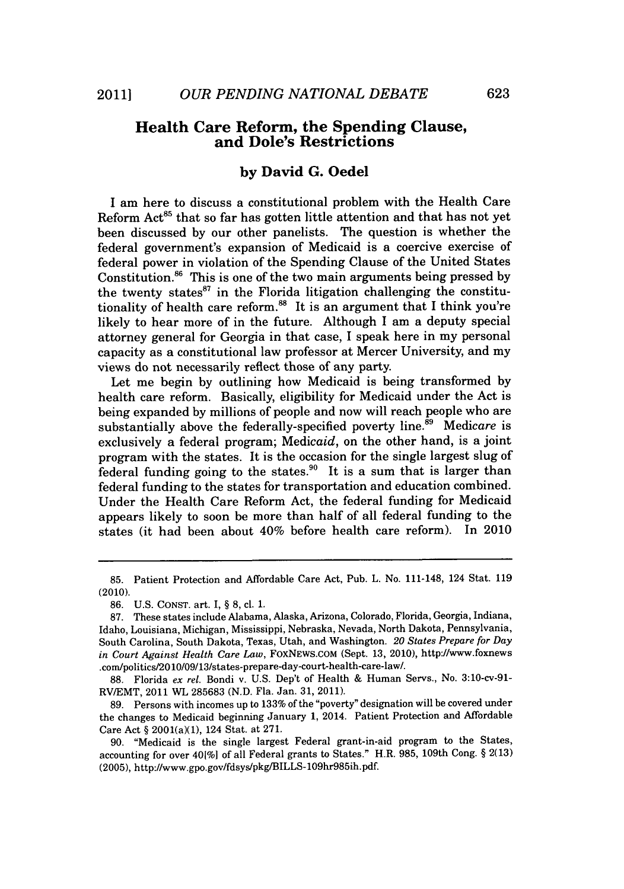### **Health Care Reform, the Spending Clause, and Dole's Restrictions**

#### **by David G. Oedel**

**I** am here to discuss a constitutional problem with the Health Care Reform  $Act^{85}$  that so far has gotten little attention and that has not yet been discussed **by** our other panelists. The question is whether the federal government's expansion of Medicaid is a coercive exercise of federal power in violation of the Spending Clause of the United States Constitution.<sup>86</sup> This is one of the two main arguments being pressed by the twenty states<sup>87</sup> in the Florida litigation challenging the constitutionality of health care reform.<sup>88</sup> It is an argument that I think you're likely to hear more of in the future. Although **I** am a deputy special attorney general for Georgia in that case, I speak here in my personal capacity as a constitutional law professor at Mercer University, and my views do not necessarily reflect those of any party.

Let me begin **by** outlining how Medicaid is being transformed **by** health care reform. Basically, eligibility for Medicaid under the Act is being expanded **by** millions of people and now will reach people who are substantially above the federally-specified poverty line.<sup>89</sup> Medicare is exclusively a federal program; Medicaid, on the other hand, is a joint program with the states. It is the occasion for the single largest slug of federal funding going to the states.<sup>90</sup> It is a sum that is larger than federal funding to the states for transportation and education combined. Under the Health Care Reform Act, the federal funding for Medicaid appears likely to soon be more than half of all federal funding to the states (it had been about 40% before health care reform). In 2010

**<sup>85.</sup>** Patient Protection and Affordable Care Act, Pub. L. No. 111-148, 124 Stat. **<sup>119</sup>** (2010).

**<sup>86.</sup> U.S. CONST.** art. I, **§ 8,** cl. **1.**

**<sup>87.</sup>** These states include Alabama, Alaska, Arizona, Colorado, Florida, Georgia, Indiana, Idaho, Louisiana, Michigan, Mississippi, Nebraska, Nevada, North Dakota, Pennsylvania, South Carolina, South Dakota, Texas, Utah, and Washington. *20 States Prepare for Day in Court Against Health Care Law,* FoxNEWS.COM (Sept. **13,** 2010), http://www.foxnews .com/politics/2010/09/13/states-prepare-day-court-health-care-law/.

**<sup>88.</sup>** Florida *ex rel.* Bondi v. **U.S.** Dep't of Health **&** Human Servs., No. 3:10-cv-91- RV/EMT, 2011 WL **285683 (N.D.** Fla. Jan. **31, 2011).**

**<sup>89.</sup>** Persons with incomes up to **133%** of the "poverty" designation will be covered under the changes to Medicaid beginning January **1,** 2014. Patient Protection and Affordable Care Act **§** 2001(a)(1), 124 Stat. at **271.**

**<sup>90.</sup>** "Medicaid is the single largest Federal grant-in-aid program to the States, accounting for over 401%] of all Federal grants to States." H.R. **985,** 109th Cong. **§ 2(13) (2005),** http://www.gpo.gov/fdsys/pkg/BILLS-109hr985ih.pdf.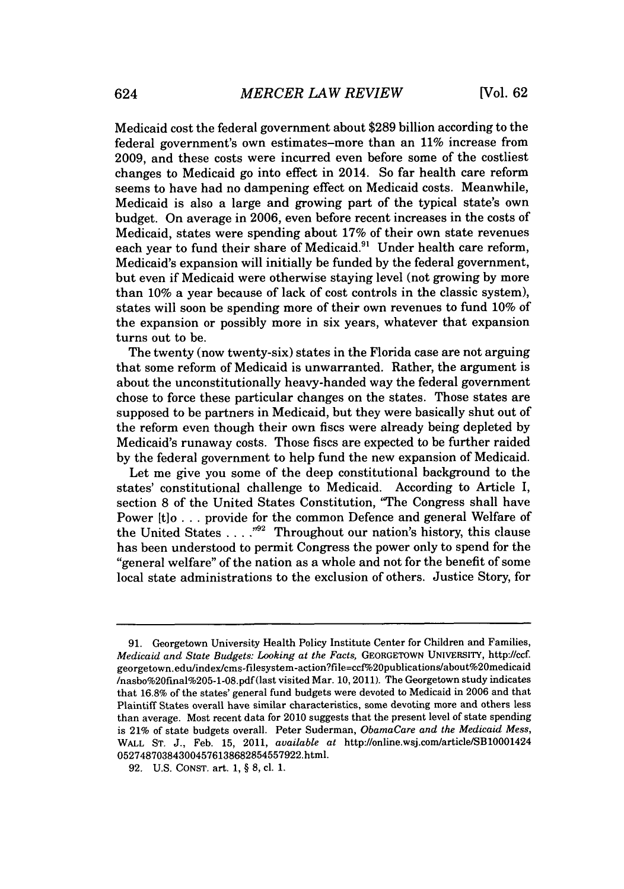Medicaid cost the federal government about **\$289** billion according to the federal government's own estimates-more than an **11%** increase from **2009,** and these costs were incurred even before some of the costliest changes to Medicaid go into effect in 2014. So far health care reform seems to have had no dampening effect on Medicaid costs. Meanwhile, Medicaid is also a large and growing part of the typical state's own budget. On average in **2006,** even before recent increases in the costs of Medicaid, states were spending about **17%** of their own state revenues each year to fund their share of Medicaid.<sup>91</sup> Under health care reform, Medicaid's expansion will initially be funded **by** the federal government, but even if Medicaid were otherwise staying level (not growing **by** more than **10%** a year because of lack of cost controls in the classic system), states will soon be spending more of their own revenues to fund **10%** of the expansion or possibly more in six years, whatever that expansion turns out to be.

The twenty (now twenty-six) states in the Florida case are not arguing that some reform of Medicaid is unwarranted. Rather, the argument is about the unconstitutionally heavy-handed way the federal government chose to force these particular changes on the states. Those states are supposed to be partners in Medicaid, but they were basically shut out of the reform even though their own fiscs were already being depleted **by** Medicaid's runaway costs. Those fiscs are expected to be further raided **by** the federal government to help fund the new expansion of Medicaid.

Let me give you some of the deep constitutional background to the states' constitutional challenge to Medicaid. According to Article I, section **8** of the United States Constitution, "The Congress shall have Power [t]o . . . provide for the common Defence and general Welfare of the United States . . . . "<sup>92</sup> Throughout our nation's history, this clause has been understood to permit Congress the power only to spend for the "general welfare" of the nation as a whole and not for the benefit of some local state administrations to the exclusion of others. Justice Story, for

**<sup>91.</sup>** Georgetown University Health Policy Institute Center for Children and Families, *Medicaid and State Budgets: Looking at the Facts,* GEORGETOWN **UNIVERSITY,** http://ccf. georgetown.edu/index/cms-filesystem-action?file=ccf%20publications/about%20medicaid /nasbo%20final%205-1-08.pdf (last visited Mar. **10,** 2011). The Georgetown study indicates that **16.8%** of the states' general fund budgets were devoted to Medicaid in **2006** and that Plaintiff States overall have similar characteristics, some devoting more and others less than average. Most recent data for 2010 suggests that the present level of state spending is 21% of state budgets overall. Peter Suderman, *ObamaCare and the Medicaid Mess,* WALL **ST. J.,** Feb. **15,** 2011, *available at* http://online.wsj.com/article/SB10001424 052748703843004576138682854557922.html.

**<sup>92.</sup> U.S. CONST.** art. **1, § 8,** cl. **1.**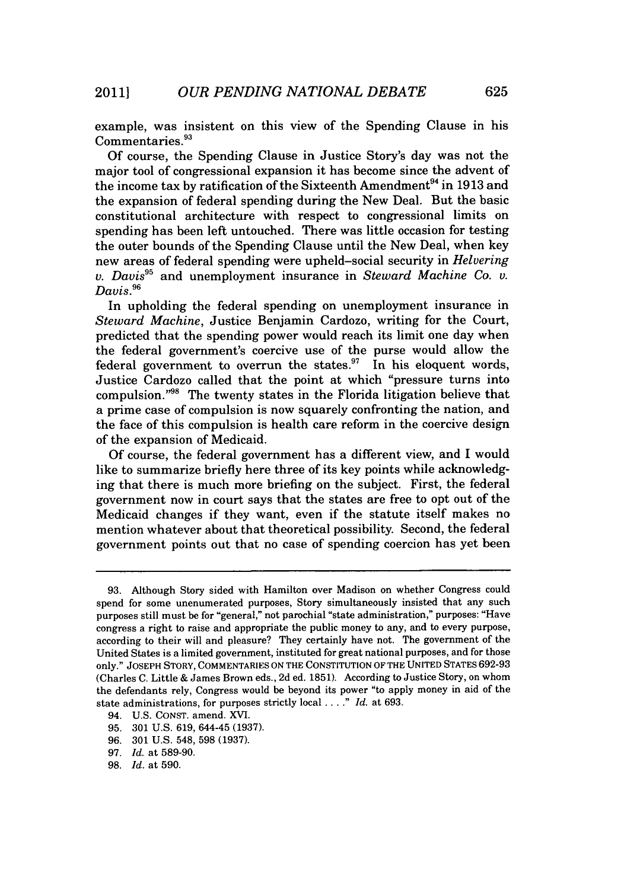example, was insistent on this view of the Spending Clause in his Commentaries.<sup>93</sup>

**Of** course, the Spending Clause in Justice Story's day was not the major tool of congressional expansion it has become since the advent of the income tax by ratification of the Sixteenth Amendment<sup>94</sup> in 1913 and the expansion of federal spending during the New Deal. But the basic constitutional architecture with respect to congressional limits on spending has been left untouched. There was little occasion for testing the outer bounds of the Spending Clause until the New Deal, when key new areas of federal spending were upheld-social security in *Helvering v. Davis"* and unemployment insurance in *Steward Machine Co. v. Davis.96*

In upholding the federal spending on unemployment insurance in *Steward Machine,* Justice Benjamin Cardozo, writing for the Court, predicted that the spending power would reach its limit one day when the federal government's coercive use of the purse would allow the federal government to overrun the states. $97$  In his eloquent words, Justice Cardozo called that the point at which "pressure turns into compulsion."<sup>98</sup> The twenty states in the Florida litigation believe that a prime case of compulsion is now squarely confronting the nation, and the face of this compulsion is health care reform in the coercive design of the expansion of Medicaid.

**Of** course, the federal government has a different view, and **I** would like to summarize briefly here three of its key points while acknowledging that there is much more briefing on the subject. First, the federal government now in court says that the states are free to opt out of the Medicaid changes if they want, even if the statute itself makes no mention whatever about that theoretical possibility. Second, the federal government points out that no case of spending coercion has yet been

**<sup>93.</sup>** Although Story sided with Hamilton over Madison on whether Congress could spend for some unenumerated purposes, Story simultaneously insisted that any such purposes still must **be** for "general," not parochial "state administration," purposes: "Have congress a right to raise and appropriate the public money to any, and to every purpose, according to their will and pleasure? They certainly have not. The government of the United States is a limited government, instituted for great national purposes, and for those only." **JOSEPH** STORY, **COMMENTARIES ON** THE **CONSTITUTION** OF THE **UNITED** STATES **692-93** (Charles **C.** Little **&** James Brown eds., **2d** ed. **1851).** According to Justice Story, on whom the defendants rely, Congress would be beyond its power "to apply money in aid of the state administrations, for purposes strictly local **. . . ."** *Id.* at **693.**

<sup>94.</sup> **U.S. CONST.** amend. XVI.

**<sup>95. 301</sup> U.S. 619,** 644-45 **(1937).**

**<sup>96. 301</sup> U.S.** 548, **598 (1937).**

**<sup>97.</sup>** *Id.* at **589-90.**

**<sup>98.</sup>** *Id.* at **590.**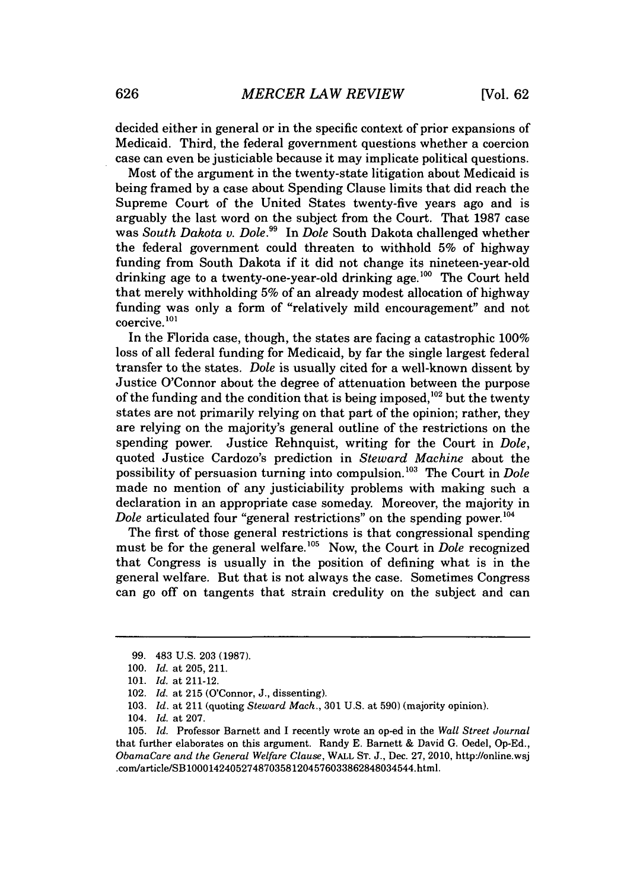decided either in general or in the specific context of prior expansions of Medicaid. Third, the federal government questions whether a coercion case can even be justiciable because it may implicate political questions.

Most of the argument in the twenty-state litigation about Medicaid is being framed **by** a case about Spending Clause limits that did reach the Supreme Court of the United States twenty-five years ago and is arguably the last word on the subject from the Court. That **1987** case was *South Dakota v. Dole.99* In *Dole* South Dakota challenged whether the federal government could threaten to withhold **5%** of highway funding from South Dakota if it did not change its nineteen-year-old drinking age to a twenty-one-year-old drinking age.<sup>100</sup> The Court held that merely withholding **5%** of an already modest allocation of highway funding was only a form of "relatively mild encouragement" and not coercive.<sup>101</sup>

In the Florida case, though, the states are facing a catastrophic **100%** loss of all federal funding for Medicaid, **by** far the single largest federal transfer to the states. *Dole* is usually cited for a well-known dissent **by** Justice O'Connor about the degree of attenuation between the purpose of the funding and the condition that is being imposed,<sup>102</sup> but the twenty states are not primarily relying on that part of the opinion; rather, they are relying on the majority's general outline of the restrictions on the spending power. Justice Rehnquist, writing for the Court in *Dole,* quoted Justice Cardozo's prediction in *Steward Machine* about the possibility of persuasion turning into compulsion.<sup>103</sup> The Court in *Dole* made no mention of any justiciability problems with making such a declaration in an appropriate case someday. Moreover, the majority in *Dole* articulated four "general restrictions" on the spending power.<sup>104</sup>

The first of those general restrictions is that congressional spending must be for the general welfare.<sup>105</sup> Now, the Court in *Dole* recognized that Congress is usually in the position of defining what is in the general welfare. But that is not always the case. Sometimes Congress can go off on tangents that strain credulity on the subject and can

**<sup>99.</sup>** 483 **U.S. 203 (1987).**

**<sup>100.</sup>** *Id. at* **205,** 211.

**<sup>101.</sup>** *Id. at* 211-12.

<sup>102.</sup> *Id. at* **215** (O'Connor, **J.,** dissenting).

**<sup>103.</sup>** *Id. at* 211 (quoting *Steward Mach.,* **301 U.S.** at **590)** (majority opinion).

<sup>104.</sup> *Id. at* **207.**

**<sup>105.</sup>** *Id.* Professor Barnett and **I** recently wrote an op-ed in the *Wall Street Journal* that further elaborates on this argument. Randy **E.** Barnett **&** David **G.** Oedel, **Op-Ed.,** *ObamaCare and the General Welfare Clause,* WALL **ST. J.,** Dec. **27, 2010,** http://online.wsj .com/article/SB10001424052748703581204576033862848034544.html.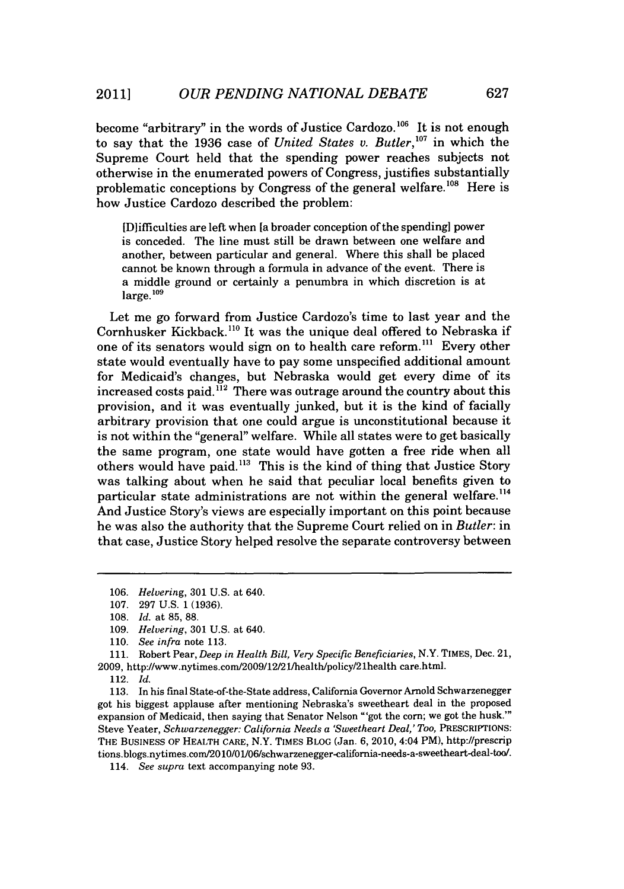become "arbitrary" in the words of Justice Cardozo.<sup>106</sup> It is not enough to say that the 1936 case of *United States v. Butler*,<sup>107</sup> in which the Supreme Court held that the spending power reaches subjects not otherwise in the enumerated powers of Congress, justifies substantially problematic conceptions by Congress of the general welfare.<sup>108</sup> Here is how Justice Cardozo described the problem:

[DIifficulties are left when [a broader conception of the spending] power is conceded. The line must still be drawn between one welfare and another, between particular and general. Where this shall be placed cannot be known through a formula in advance of the event. There is a middle ground or certainly a penumbra in which discretion is at  $l$ arge. $109$ 

Let me go forward from Justice Cardozo's time to last year and the Cornhusker Kickback.<sup>110</sup> It was the unique deal offered to Nebraska if one of its senators would sign on to health care reform.<sup>111</sup> Every other state would eventually have to pay some unspecified additional amount for Medicaid's changes, but Nebraska would get every dime of its increased costs paid. $i^{12}$  There was outrage around the country about this provision, and it was eventually junked, but it is the kind of facially arbitrary provision that one could argue is unconstitutional because it is not within the "general" welfare. While all states were to get basically the same program, one state would have gotten a free ride when all others would have paid."' This is the kind of thing that Justice Story was talking about when he said that peculiar local benefits given to particular state administrations are not within the general welfare.<sup>114</sup> And Justice Story's views are especially important on this point because he was also the authority that the Supreme Court relied on in *Butler:* in that case, Justice Story helped resolve the separate controversy between

**111.** Robert Pear, *Deep in Health Bill, Very Specific Beneficiaries, N.Y.* TIMEs, Dec. 21, **2009,** http://www.nytimes.com/2009/12/2l/health/policy/21health care.html.

**<sup>106.</sup>** *Helvering,* **301 U.S.** at 640.

**<sup>107. 297</sup> U.S. 1 (1936).**

**<sup>108.</sup>** *Id. at* **85, 88.**

**<sup>109.</sup>** *Helvering,* **301 U.S.** at 640.

**<sup>110.</sup>** *See infra* note **113.**

<sup>112.</sup> *Id.*

**<sup>113.</sup>** In his final State-of-the-State address, California Governor Arnold Schwarzenegger got his biggest applause after mentioning Nebraska's sweetheart deal in the proposed expansion of Medicaid, then saying that Senator Nelson "'got the corn; we got the husk.'" Steve Yeater, *Schwarzenegger: California Needs a 'Sweetheart Deal,' Too,* PRESCRIPTIONS: THE **BUSINESS** OF HEALTH CARE, N.Y. TIMES BLOG (Jan. **6,** 2010, 4:04 PM), http://prescrip tions.blogs.nytimes.com/2010/01/06/schwarzenegger-california-needs-a-sweetheart-deal-too/.

*<sup>114.</sup> See supra* text accompanying note **93.**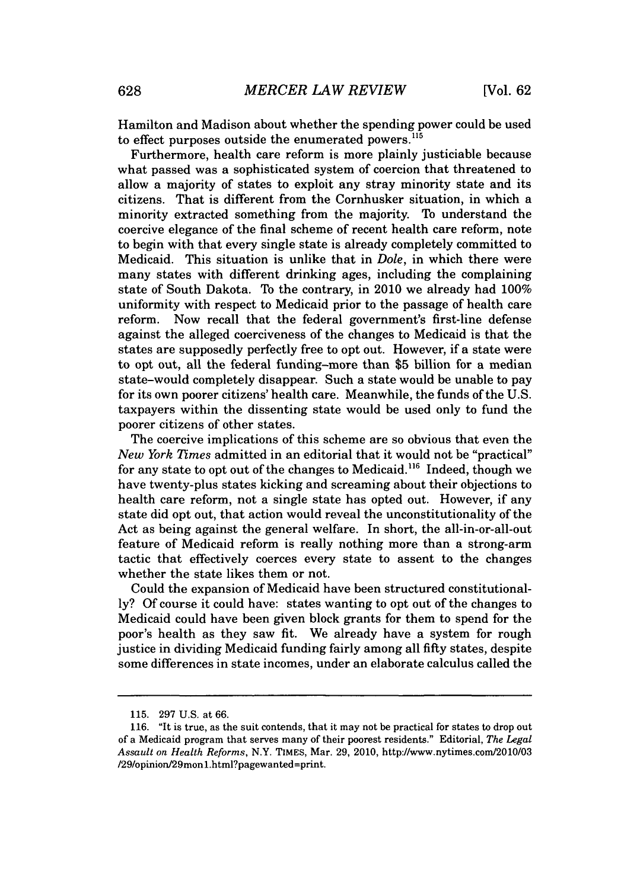Hamilton and Madison about whether the spending power could be used to effect purposes outside the enumerated powers.<sup>115</sup>

Furthermore, health care reform is more plainly justiciable because what passed was a sophisticated system of coercion that threatened to allow a majority of states to exploit any stray minority state and its citizens. That is different from the Cornhusker situation, in which a minority extracted something from the majority. To understand the coercive elegance of the final scheme of recent health care reform, note to begin with that every single state is already completely committed to Medicaid. This situation is unlike that in *Dole,* in which there were many states with different drinking ages, including the complaining state of South Dakota. To the contrary, in 2010 we already had **100%** uniformity with respect to Medicaid prior to the passage of health care reform. Now recall that the federal government's first-line defense against the alleged coerciveness of the changes to Medicaid is that the states are supposedly perfectly free to opt out. However, if a state were to opt out, all the federal funding-more than **\$5** billion for a median state-would completely disappear. Such a state would be unable to pay for its own poorer citizens' health care. Meanwhile, the funds of the **U.S.** taxpayers within the dissenting state would be used only to fund the poorer citizens of other states.

The coercive implications of this scheme are so obvious that even the *New York Times* admitted in an editorial that it would not be "practical" for any state to opt out of the changes to Medicaid.<sup>116</sup> Indeed, though we have twenty-plus states kicking and screaming about their objections to health care reform, not a single state has opted out. However, if any state did opt out, that action would reveal the unconstitutionality of the Act as being against the general welfare. In short, the all-in-or-all-out feature of Medicaid reform is really nothing more than a strong-arm tactic that effectively coerces every state to assent to the changes whether the state likes them or not.

Could the expansion of Medicaid have been structured constitutional**ly? Of** course it could have: states wanting to opt out of the changes to Medicaid could have been given block grants for them to spend for the poor's health as they saw fit. We already have a system for rough justice in dividing Medicaid funding fairly among all **fifty** states, despite some differences in state incomes, under an elaborate calculus called the

**<sup>115. 297</sup> U.S.** at **66.**

**<sup>116.</sup>** "It is true, as the suit contends, that it may not be practical for states to drop out of a Medicaid program that serves many of their poorest residents." Editorial, *The Legal Assault on Health Reforms,* N.Y. TIMES, Mar. **29,** 2010, http://www.nytimes.com/2010/03 /29/opinion/29monl.html?pagewanted=print.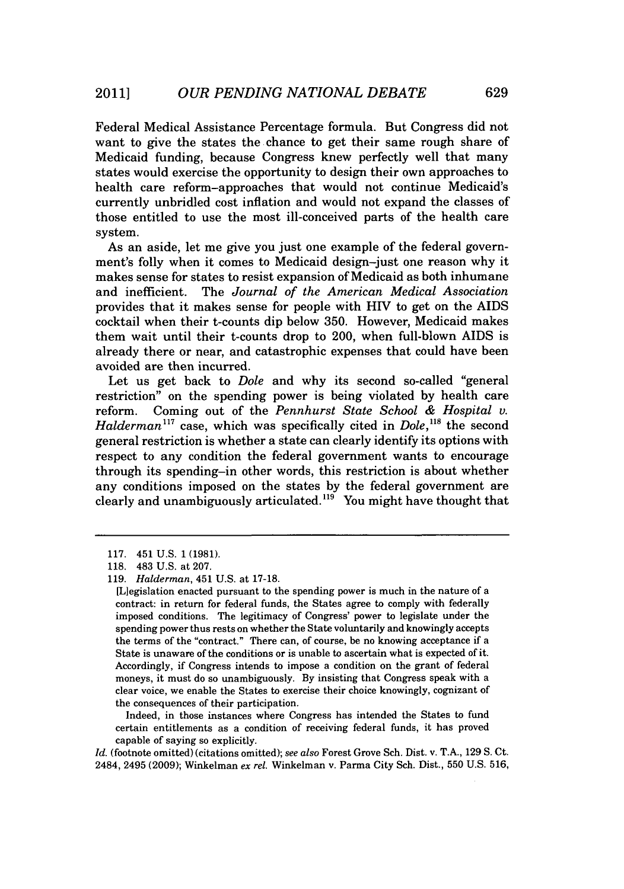Federal Medical Assistance Percentage formula. But Congress did not want to give the states the chance to get their same rough share of Medicaid funding, because Congress knew perfectly well that many states would exercise the opportunity to design their own approaches to health care reform-approaches that would not continue Medicaid's currently unbridled cost inflation and would not expand the classes of those entitled to use the most ill-conceived parts of the health care system.

As an aside, let me give you just one example of the federal government's folly when it comes to Medicaid design-just one reason why it makes sense for states to resist expansion of Medicaid as both inhumane and inefficient. The *Journal of the American Medical Association* provides that it makes sense for people with HIV to get on the AIDS cocktail when their t-counts dip below **350.** However, Medicaid makes them wait until their t-counts drop to 200, when full-blown AIDS is already there or near, and catastrophic expenses that could have been avoided are then incurred.

Let us get back to *Dole* and why its second so-called "general restriction" on the spending power is being violated **by** health care reform. Coming out of the *Pennhurst State School & Hospital v. Halderman*<sup>117</sup> case, which was specifically cited in *Dole*, <sup>118</sup> the second general restriction is whether a state can clearly identify its options with respect to any condition the federal government wants to encourage through its spending-in other words, this restriction is about whether any conditions imposed on the states **by** the federal government are clearly and unambiguously articulated.<sup>119</sup> You might have thought that

Indeed, in those instances where Congress has intended the States to fund certain entitlements as a condition of receiving federal funds, it has proved capable of saying so explicitly.

*Id.* (footnote omitted) (citations omitted); *see also* Forest Grove Sch. Dist. v. **T.A., 129 S.** Ct. 2484, 2495 **(2009);** Winkelman *ex rel.* Winkelman v. Parma City Sch. Dist., **550 U.S. 516,**

**<sup>117.</sup>** 451 **U.S. 1 (1981).**

**<sup>118.</sup>** 483 **U.S.** *at* **207.**

*<sup>119.</sup> Halderman,* 451 **U.S.** at **17-18.**

<sup>[</sup>Liegislation enacted pursuant to the spending power is much in the nature of a contract: in return for federal funds, the States agree to comply with federally imposed conditions. The legitimacy of Congress' power to legislate under the spending power thus rests on whether the State voluntarily and knowingly accepts the terms of the "contract." There can, of course, be no knowing acceptance if a State is unaware of the conditions or is unable to ascertain what is expected of it. Accordingly, if Congress intends to impose a condition on the grant of federal moneys, it must do so unambiguously. **By** insisting that Congress speak with a clear voice, we enable the States to exercise their choice knowingly, cognizant of the consequences of their participation.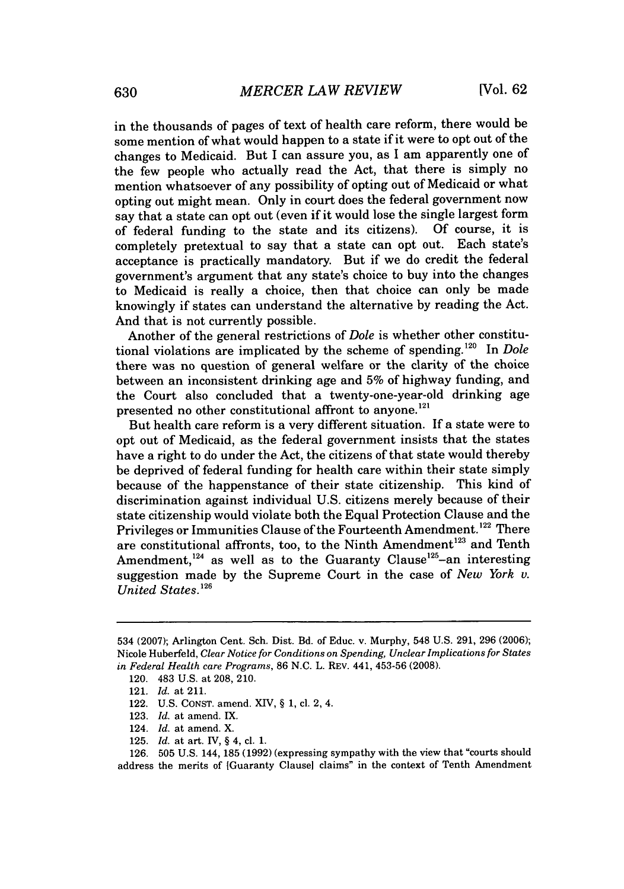in the thousands of pages of text of health care reform, there would be some mention of what would happen to a state *if* it were to opt out of the changes to Medicaid. But I can assure you, as **I** am apparently one of the few people who actually read the Act, that there is simply no mention whatsoever of any possibility of opting out of Medicaid or what opting out might mean. Only in court does the federal government now say that a state can opt out (even if it would lose the single largest form<br>of federal funding to the state and its citizens). Of course, it is of federal funding to the state and its citizens). completely pretextual to say that a state can opt out. Each state's acceptance is practically mandatory. But if we do credit the federal government's argument that any state's choice to buy into the changes to Medicaid is really a choice, then that choice can only be made knowingly if states can understand the alternative **by** reading the Act. And that is not currently possible.

Another of the general restrictions of *Dole* is whether other constitutional violations are implicated by the scheme of spending.<sup>120</sup> In *Dole* there was no question of general welfare or the clarity of the choice between an inconsistent drinking age and **5%** of highway funding, and the Court also concluded that a twenty-one-year-old drinking age presented no other constitutional affront to anyone.<sup>121</sup>

But health care reform is a very different situation. **If** a state were to opt out of Medicaid, as the federal government insists that the states have a right to do under the Act, the citizens of that state would thereby be deprived of federal funding for health care within their state simply because of the happenstance of their state citizenship. This kind of discrimination against individual **U.S.** citizens merely because of their state citizenship would violate both the Equal Protection Clause and the Privileges or Immunities Clause of the Fourteenth Amendment.<sup>122</sup> There are constitutional affronts, too, to the Ninth Amendment<sup>123</sup> and Tenth Amendment,<sup>124</sup> as well as to the Guaranty Clause<sup>125</sup>-an interesting suggestion made **by** the Supreme Court in the case of *New York v. United States.12*

<sup>534</sup> **(2007);** Arlington Cent. **Sch.** Dist. Bd. of Educ. v. Murphy, 548 **U.S. 291, 296 (2006);** Nicole Huberfeld, *Clear Notice for Conditions on Spending, Unclear Implications for States in Federal Health care Programs,* **86 N.C.** L. REV. 441, **453-56 (2008).**

<sup>120. 483</sup> **U.S.** at **208,** 210.

<sup>121.</sup> *Id. at* 211.

<sup>122.</sup> **U.S. CONsT.** amend. XIV, **§ 1,** cl. 2, 4.

**<sup>123.</sup>** *Id. at* amend. IX.

<sup>124.</sup> *Id. at* amend. X.

**<sup>125.</sup>** *Id. at art.* IV, **§** 4, cl. **1.**

**<sup>126. 505</sup> U.S.** 144, **185 (1992)** (expressing sympathy with the view that "courts should address the merits of [Guaranty Clausel claims" in the context of Tenth Amendment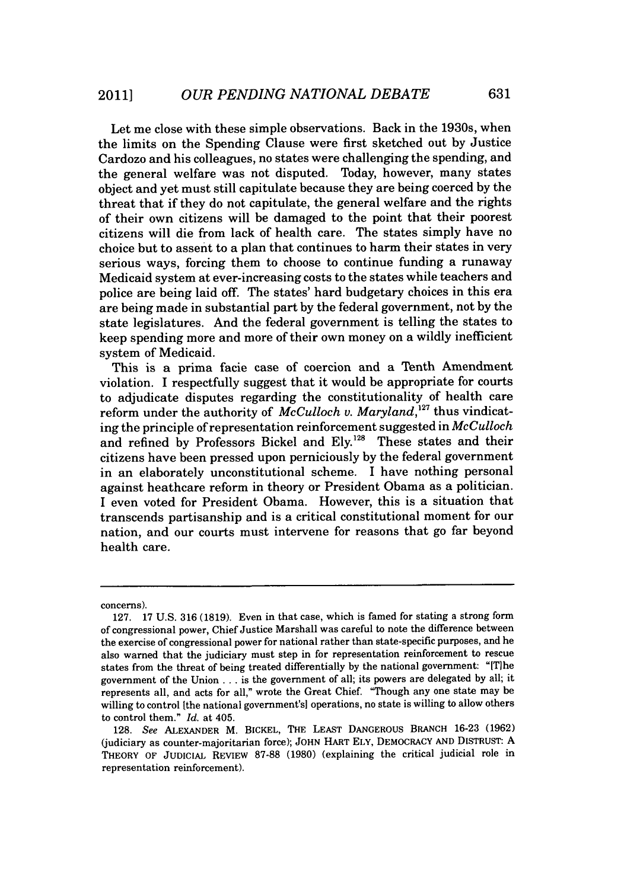Let me close with these simple observations. Back in the 1930s, when the limits on the Spending Clause were first sketched out **by** Justice Cardozo and his colleagues, no states were challenging the spending, and the general welfare was not disputed. Today, however, many states object and yet must still capitulate because they are being coerced **by** the threat that if they do not capitulate, the general welfare and the rights of their own citizens will be damaged to the point that their poorest citizens will die from lack of health care. The states simply have no choice but to assent to a plan that continues to harm their states in very serious ways, forcing them to choose to continue funding a runaway Medicaid system at ever-increasing costs to the states while teachers and police are being laid off. The states' hard budgetary choices in this era are being made in substantial part **by** the federal government, not **by** the state legislatures. And the federal government is telling the states to keep spending more and more of their own money on a wildly inefficient system of Medicaid.

This is a prima facie case of coercion and a Tenth Amendment violation. I respectfully suggest that it would be appropriate for courts to adjudicate disputes regarding the constitutionality of health care reform under the authority of *McCulloch v. Maryland*,<sup>127</sup> thus vindicating the principle of representation reinforcement suggested in *McCulloch* and refined by Professors Bickel and Ely.<sup>128</sup> These states and their citizens have been pressed upon perniciously **by** the federal government in an elaborately unconstitutional scheme. I have nothing personal against heathcare reform in theory or President Obama as a politician. **<sup>I</sup>**even voted for President Obama. However, this is a situation that transcends partisanship and is a critical constitutional moment for our nation, and our courts must intervene for reasons that go far beyond health care.

concerns).

**<sup>127. 17</sup> U.S. 316 (1819).** Even in that case, which is famed for stating a strong form of congressional power, Chief Justice Marshall was careful to note the difference between the exercise of congressional power for national rather than state-specific purposes, and he also warned that the judiciary must step in for representation reinforcement to rescue states from the threat of being treated differentially **by** the national government: "[T]he government of the Union **.** . **.** is the government of all; its powers are delegated **by** all; it represents all, and acts for all," wrote the Great Chief. "Though any one state may be willing to control [the national government's] operations, no state is willing to allow others to control them." *Id.* at 405.

**<sup>128.</sup>** *See* **ALEXANDER** M. **BICKEL, THE LEAST DANGEROUS BRANCH 16-23 (1962)** (judiciary as counter-majoritarian force); **JOHN HART ELY, DEMOCRACY AND DISTRUST: A THEORY OF JUDICIAL REVIEW 87-88 (1980)** (explaining the critical judicial role in representation reinforcement).